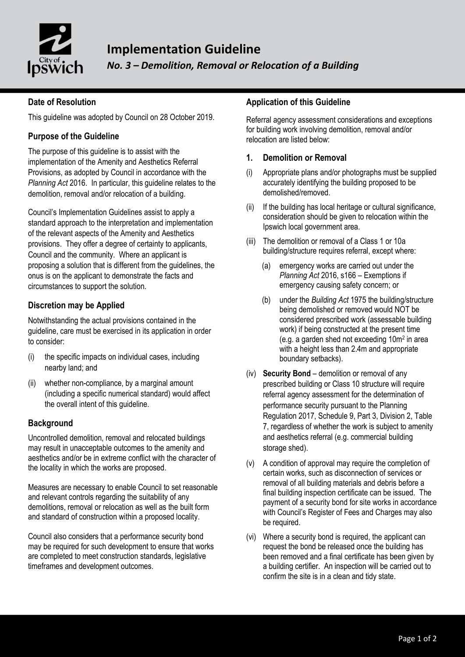

## **Date of Resolution**

This guideline was adopted by Council on 28 October 2019.

### **Purpose of the Guideline**

The purpose of this guideline is to assist with the implementation of the Amenity and Aesthetics Referral Provisions, as adopted by Council in accordance with the *Planning Act* 2016. In particular, this guideline relates to the demolition, removal and/or relocation of a building.

Council's Implementation Guidelines assist to apply a standard approach to the interpretation and implementation of the relevant aspects of the Amenity and Aesthetics provisions. They offer a degree of certainty to applicants, Council and the community. Where an applicant is proposing a solution that is different from the guidelines, the onus is on the applicant to demonstrate the facts and circumstances to support the solution.

### **Discretion may be Applied**

Notwithstanding the actual provisions contained in the guideline, care must be exercised in its application in order to consider:

- (i) the specific impacts on individual cases, including nearby land; and
- (ii) whether non-compliance, by a marginal amount (including a specific numerical standard) would affect the overall intent of this guideline.

### **Background**

Uncontrolled demolition, removal and relocated buildings may result in unacceptable outcomes to the amenity and aesthetics and/or be in extreme conflict with the character of the locality in which the works are proposed.

Measures are necessary to enable Council to set reasonable and relevant controls regarding the suitability of any demolitions, removal or relocation as well as the built form and standard of construction within a proposed locality.

Council also considers that a performance security bond may be required for such development to ensure that works are completed to meet construction standards, legislative timeframes and development outcomes.

### **Application of this Guideline**

Referral agency assessment considerations and exceptions for building work involving demolition, removal and/or relocation are listed below:

#### **1. Demolition or Removal**

- (i) Appropriate plans and/or photographs must be supplied accurately identifying the building proposed to be demolished/removed.
- (ii) If the building has local heritage or cultural significance, consideration should be given to relocation within the Ipswich local government area.
- (iii) The demolition or removal of a Class 1 or 10a building/structure requires referral, except where:
	- (a) emergency works are carried out under the *Planning Act* 2016, s166 – Exemptions if emergency causing safety concern; or
	- (b) under the *Building Act* 1975 the building/structure being demolished or removed would NOT be considered prescribed work (assessable building work) if being constructed at the present time (e.g. a garden shed not exceeding 10m<sup>2</sup> in area with a height less than 2.4m and appropriate boundary setbacks).
- (iv) **Security Bond** demolition or removal of any prescribed building or Class 10 structure will require referral agency assessment for the determination of performance security pursuant to the Planning Regulation 2017, Schedule 9, Part 3, Division 2, Table 7, regardless of whether the work is subject to amenity and aesthetics referral (e.g. commercial building storage shed).
- (v) A condition of approval may require the completion of certain works, such as disconnection of services or removal of all building materials and debris before a final building inspection certificate can be issued. The payment of a security bond for site works in accordance with Council's Register of Fees and Charges may also be required.
- (vi) Where a security bond is required, the applicant can request the bond be released once the building has been removed and a final certificate has been given by a building certifier. An inspection will be carried out to confirm the site is in a clean and tidy state.